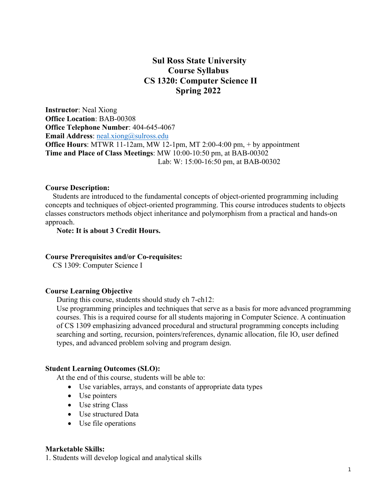# **Sul Ross State University Course Syllabus CS 1320: Computer Science II Spring 2022**

**Instructor**: Neal Xiong **Office Location**: BAB-00308 **Office Telephone Number**: 404-645-4067 **Email Address:** neal.xiong@sulross.edu **Office Hours**: MTWR 11-12am, MW 12-1pm, MT 2:00-4:00 pm, + by appointment **Time and Place of Class Meetings**: MW 10:00-10:50 pm, at BAB-00302 Lab: W: 15:00-16:50 pm, at BAB-00302

#### **Course Description:**

Students are introduced to the fundamental concepts of object-oriented programming including concepts and techniques of object-oriented programming. This course introduces students to objects classes constructors methods object inheritance and polymorphism from a practical and hands-on approach.

### **Note: It is about 3 Credit Hours.**

#### **Course Prerequisites and/or Co-requisites:**

CS 1309: Computer Science I

#### **Course Learning Objective**

During this course, students should study ch 7-ch12:

Use programming principles and techniques that serve as a basis for more advanced programming courses. This is a required course for all students majoring in Computer Science. A continuation of CS 1309 emphasizing advanced procedural and structural programming concepts including searching and sorting, recursion, pointers/references, dynamic allocation, file IO, user defined types, and advanced problem solving and program design.

#### **Student Learning Outcomes (SLO):**

At the end of this course, students will be able to:

- Use variables, arrays, and constants of appropriate data types
- Use pointers
- Use string Class
- Use structured Data
- Use file operations

#### **Marketable Skills:**

1. Students will develop logical and analytical skills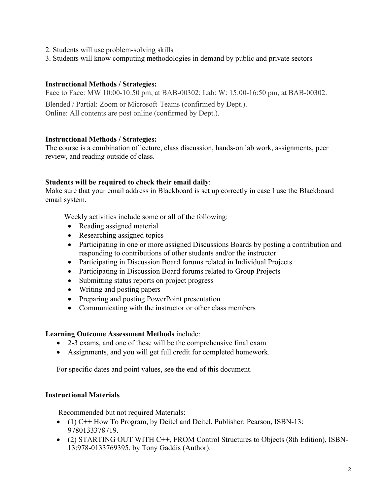- 2. Students will use problem-solving skills
- 3. Students will know computing methodologies in demand by public and private sectors

### **Instructional Methods / Strategies:**

Face to Face: MW 10:00-10:50 pm, at BAB-00302; Lab: W: 15:00-16:50 pm, at BAB-00302.

Blended / Partial: Zoom or Microsoft Teams (confirmed by Dept.). Online: All contents are post online (confirmed by Dept.).

### **Instructional Methods / Strategies:**

The course is a combination of lecture, class discussion, hands-on lab work, assignments, peer review, and reading outside of class.

### **Students will be required to check their email daily**:

Make sure that your email address in Blackboard is set up correctly in case I use the Blackboard email system.

Weekly activities include some or all of the following:

- Reading assigned material
- Researching assigned topics
- Participating in one or more assigned Discussions Boards by posting a contribution and responding to contributions of other students and/or the instructor
- Participating in Discussion Board forums related in Individual Projects
- Participating in Discussion Board forums related to Group Projects
- Submitting status reports on project progress
- Writing and posting papers
- Preparing and posting PowerPoint presentation
- Communicating with the instructor or other class members

# **Learning Outcome Assessment Methods** include:

- 2-3 exams, and one of these will be the comprehensive final exam
- Assignments, and you will get full credit for completed homework.

For specific dates and point values, see the end of this document.

# **Instructional Materials**

Recommended but not required Materials:

- (1) C++ How To Program, by Deitel and Deitel, Publisher: Pearson, ISBN-13: 9780133378719.
- (2) STARTING OUT WITH C++, FROM Control Structures to Objects (8th Edition), ISBN-13:978-0133769395, by Tony Gaddis (Author).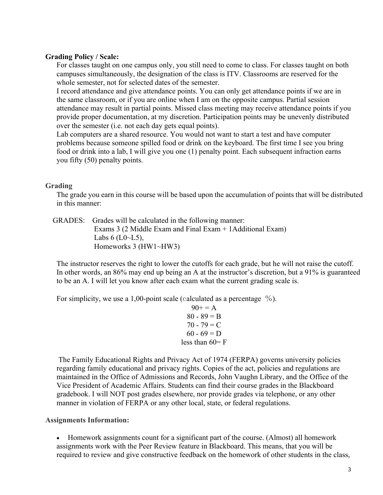### **Grading Policy / Scale:**

For classes taught on one campus only, you still need to come to class. For classes taught on both campuses simultaneously, the designation of the class is ITV. Classrooms are reserved for the whole semester, not for selected dates of the semester.

I record attendance and give attendance points. You can only get attendance points if we are in the same classroom, or if you are online when I am on the opposite campus. Partial session attendance may result in partial points. Missed class meeting may receive attendance points if you provide proper documentation, at my discretion. Participation points may be unevenly distributed over the semester (i.e. not each day gets equal points).

Lab computers are a shared resource. You would not want to start a test and have computer problems because someone spilled food or drink on the keyboard. The first time I see you bring food or drink into a lab, I will give you one (1) penalty point. Each subsequent infraction earns you fifty (50) penalty points.

# **Grading**

The grade you earn in this course will be based upon the accumulation of points that will be distributed in this manner:

 GRADES: Grades will be calculated in the following manner: Exams 3 (2 Middle Exam and Final Exam + 1Additional Exam) Labs  $6$  (L0 $\sim$ L5), Homeworks 3 (HW1~HW3)

The instructor reserves the right to lower the cutoffs for each grade, but he will not raise the cutoff. In other words, an 86% may end up being an A at the instructor's discretion, but a 91% is guaranteed to be an A. I will let you know after each exam what the current grading scale is.

For simplicity, we use a 1,00-point scale (calculated as a percentage  $\%$ ).

 $90+=A$  $80 - 89 = B$  $70 - 79 = C$  $60 - 69 = D$ less than  $60 = F$ 

The Family Educational Rights and Privacy Act of 1974 (FERPA) governs university policies regarding family educational and privacy rights. Copies of the act, policies and regulations are maintained in the Office of Admissions and Records, John Vaughn Library, and the Office of the Vice President of Academic Affairs. Students can find their course grades in the Blackboard gradebook. I will NOT post grades elsewhere, nor provide grades via telephone, or any other manner in violation of FERPA or any other local, state, or federal regulations.

### **Assignments Information:**

• Homework assignments count for a significant part of the course. (Almost) all homework assignments work with the Peer Review feature in Blackboard. This means, that you will be required to review and give constructive feedback on the homework of other students in the class,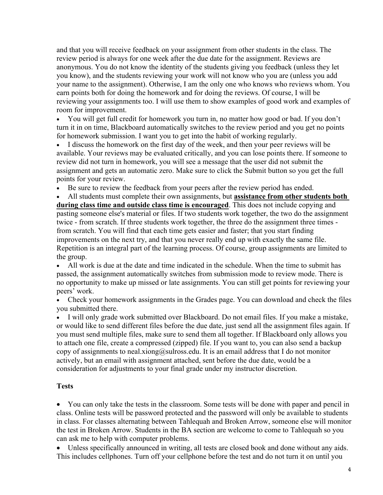and that you will receive feedback on your assignment from other students in the class. The review period is always for one week after the due date for the assignment. Reviews are anonymous. You do not know the identity of the students giving you feedback (unless they let you know), and the students reviewing your work will not know who you are (unless you add your name to the assignment). Otherwise, I am the only one who knows who reviews whom. You earn points both for doing the homework and for doing the reviews. Of course, I will be reviewing your assignments too. I will use them to show examples of good work and examples of room for improvement.

• You will get full credit for homework you turn in, no matter how good or bad. If you don't turn it in on time, Blackboard automatically switches to the review period and you get no points for homework submission. I want you to get into the habit of working regularly.

• I discuss the homework on the first day of the week, and then your peer reviews will be available. Your reviews may be evaluated critically, and you can lose points there. If someone to review did not turn in homework, you will see a message that the user did not submit the assignment and gets an automatic zero. Make sure to click the Submit button so you get the full points for your review.

• Be sure to review the feedback from your peers after the review period has ended.

• All students must complete their own assignments, but **assistance from other students both during class time and outside class time is encouraged**. This does not include copying and pasting someone else's material or files. If two students work together, the two do the assignment twice - from scratch. If three students work together, the three do the assignment three times from scratch. You will find that each time gets easier and faster; that you start finding improvements on the next try, and that you never really end up with exactly the same file. Repetition is an integral part of the learning process. Of course, group assignments are limited to the group.

• All work is due at the date and time indicated in the schedule. When the time to submit has passed, the assignment automatically switches from submission mode to review mode. There is no opportunity to make up missed or late assignments. You can still get points for reviewing your peers' work.

• Check your homework assignments in the Grades page. You can download and check the files you submitted there.

• I will only grade work submitted over Blackboard. Do not email files. If you make a mistake, or would like to send different files before the due date, just send all the assignment files again. If you must send multiple files, make sure to send them all together. If Blackboard only allows you to attach one file, create a compressed (zipped) file. If you want to, you can also send a backup copy of assignments to neal.xiong@sulross.edu. It is an email address that I do not monitor actively, but an email with assignment attached, sent before the due date, would be a consideration for adjustments to your final grade under my instructor discretion.

# **Tests**

• You can only take the tests in the classroom. Some tests will be done with paper and pencil in class. Online tests will be password protected and the password will only be available to students in class. For classes alternating between Tahlequah and Broken Arrow, someone else will monitor the test in Broken Arrow. Students in the BA section are welcome to come to Tahlequah so you can ask me to help with computer problems.

• Unless specifically announced in writing, all tests are closed book and done without any aids. This includes cellphones. Turn off your cellphone before the test and do not turn it on until you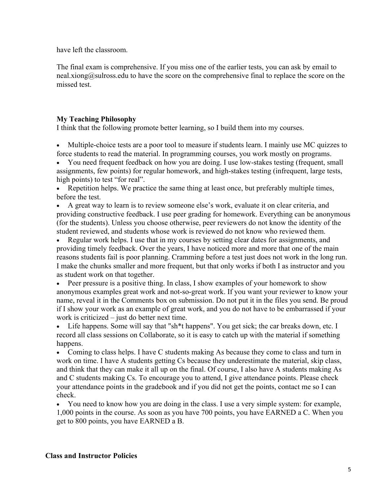have left the classroom.

The final exam is comprehensive. If you miss one of the earlier tests, you can ask by email to  $\text{real.xiong}(a)$  sulfross edu to have the score on the comprehensive final to replace the score on the missed test.

# **My Teaching Philosophy**

I think that the following promote better learning, so I build them into my courses.

• Multiple-choice tests are a poor tool to measure if students learn. I mainly use MC quizzes to force students to read the material. In programming courses, you work mostly on programs.

• You need frequent feedback on how you are doing. I use low-stakes testing (frequent, small assignments, few points) for regular homework, and high-stakes testing (infrequent, large tests, high points) to test "for real".

• Repetition helps. We practice the same thing at least once, but preferably multiple times, before the test.

• A great way to learn is to review someone else's work, evaluate it on clear criteria, and providing constructive feedback. I use peer grading for homework. Everything can be anonymous (for the students). Unless you choose otherwise, peer reviewers do not know the identity of the student reviewed, and students whose work is reviewed do not know who reviewed them.

• Regular work helps. I use that in my courses by setting clear dates for assignments, and providing timely feedback. Over the years, I have noticed more and more that one of the main reasons students fail is poor planning. Cramming before a test just does not work in the long run. I make the chunks smaller and more frequent, but that only works if both I as instructor and you as student work on that together.

• Peer pressure is a positive thing. In class, I show examples of your homework to show anonymous examples great work and not-so-great work. If you want your reviewer to know your name, reveal it in the Comments box on submission. Do not put it in the files you send. Be proud if I show your work as an example of great work, and you do not have to be embarrassed if your work is criticized – just do better next time.

• Life happens. Some will say that "sh\*t happens". You get sick; the car breaks down, etc. I record all class sessions on Collaborate, so it is easy to catch up with the material if something happens.

• Coming to class helps. I have C students making As because they come to class and turn in work on time. I have A students getting Cs because they underestimate the material, skip class, and think that they can make it all up on the final. Of course, I also have A students making As and C students making Cs. To encourage you to attend, I give attendance points. Please check your attendance points in the gradebook and if you did not get the points, contact me so I can check.

• You need to know how you are doing in the class. I use a very simple system: for example, 1,000 points in the course. As soon as you have 700 points, you have EARNED a C. When you get to 800 points, you have EARNED a B.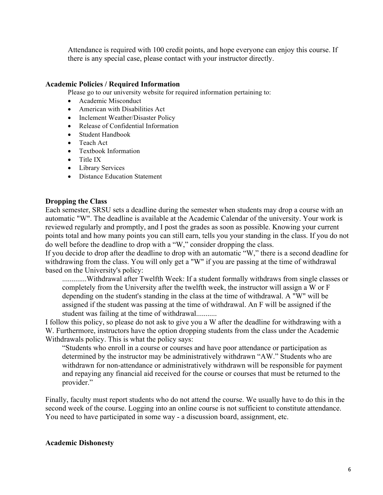Attendance is required with 100 credit points, and hope everyone can enjoy this course. If there is any special case, please contact with your instructor directly.

### **Academic Policies / Required Information**

Please go to our university website for required information pertaining to:

- Academic Misconduct
- American with Disabilities Act
- Inclement Weather/Disaster Policy
- Release of Confidential Information
- Student Handbook
- Teach Act
- Textbook Information
- Title IX
- Library Services
- Distance Education Statement

### **Dropping the Class**

Each semester, SRSU sets a deadline during the semester when students may drop a course with an automatic "W". The deadline is available at the Academic Calendar of the university. Your work is reviewed regularly and promptly, and I post the grades as soon as possible. Knowing your current points total and how many points you can still earn, tells you your standing in the class. If you do not do well before the deadline to drop with a "W," consider dropping the class.

If you decide to drop after the deadline to drop with an automatic "W," there is a second deadline for withdrawing from the class. You will only get a "W" if you are passing at the time of withdrawal based on the University's policy:

.............Withdrawal after Twelfth Week: If a student formally withdraws from single classes or completely from the University after the twelfth week, the instructor will assign a W or F depending on the student's standing in the class at the time of withdrawal. A "W" will be assigned if the student was passing at the time of withdrawal. An F will be assigned if the student was failing at the time of withdrawal...........

I follow this policy, so please do not ask to give you a W after the deadline for withdrawing with a W. Furthermore, instructors have the option dropping students from the class under the Academic Withdrawals policy. This is what the policy says:

"Students who enroll in a course or courses and have poor attendance or participation as determined by the instructor may be administratively withdrawn "AW." Students who are withdrawn for non-attendance or administratively withdrawn will be responsible for payment and repaying any financial aid received for the course or courses that must be returned to the provider."

Finally, faculty must report students who do not attend the course. We usually have to do this in the second week of the course. Logging into an online course is not sufficient to constitute attendance. You need to have participated in some way - a discussion board, assignment, etc.

### **Academic Dishonesty**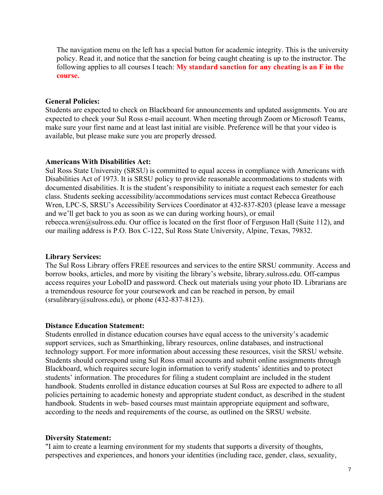The navigation menu on the left has a special button for academic integrity. This is the university policy. Read it, and notice that the sanction for being caught cheating is up to the instructor. The following applies to all courses I teach: **My standard sanction for any cheating is an F in the course.**

#### **General Policies:**

Students are expected to check on Blackboard for announcements and updated assignments. You are expected to check your Sul Ross e-mail account. When meeting through Zoom or Microsoft Teams, make sure your first name and at least last initial are visible. Preference will be that your video is available, but please make sure you are properly dressed.

#### **Americans With Disabilities Act:**

Sul Ross State University (SRSU) is committed to equal access in compliance with Americans with Disabilities Act of 1973. It is SRSU policy to provide reasonable accommodations to students with documented disabilities. It is the student's responsibility to initiate a request each semester for each class. Students seeking accessibility/accommodations services must contact Rebecca Greathouse Wren, LPC-S, SRSU's Accessibility Services Coordinator at 432-837-8203 (please leave a message and we'll get back to you as soon as we can during working hours), or email rebecca.wren@sulross.edu. Our office is located on the first floor of Ferguson Hall (Suite 112), and our mailing address is P.O. Box C-122, Sul Ross State University, Alpine, Texas, 79832.

#### **Library Services:**

The Sul Ross Library offers FREE resources and services to the entire SRSU community. Access and borrow books, articles, and more by visiting the library's website, library.sulross.edu. Off-campus access requires your LoboID and password. Check out materials using your photo ID. Librarians are a tremendous resource for your coursework and can be reached in person, by email  $(srsubbary@sultoss.edu)$ , or phone (432-837-8123).

#### **Distance Education Statement:**

Students enrolled in distance education courses have equal access to the university's academic support services, such as Smarthinking, library resources, online databases, and instructional technology support. For more information about accessing these resources, visit the SRSU website. Students should correspond using Sul Ross email accounts and submit online assignments through Blackboard, which requires secure login information to verify students' identities and to protect students' information. The procedures for filing a student complaint are included in the student handbook. Students enrolled in distance education courses at Sul Ross are expected to adhere to all policies pertaining to academic honesty and appropriate student conduct, as described in the student handbook. Students in web- based courses must maintain appropriate equipment and software, according to the needs and requirements of the course, as outlined on the SRSU website.

#### **Diversity Statement:**

"I aim to create a learning environment for my students that supports a diversity of thoughts, perspectives and experiences, and honors your identities (including race, gender, class, sexuality,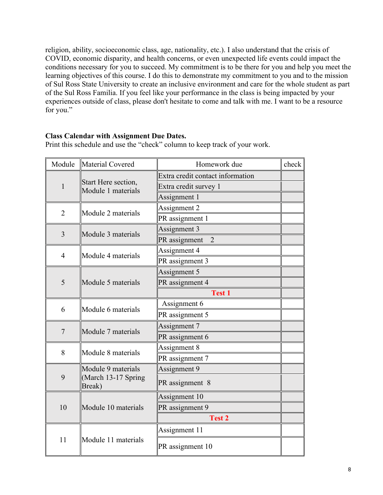religion, ability, socioeconomic class, age, nationality, etc.). I also understand that the crisis of COVID, economic disparity, and health concerns, or even unexpected life events could impact the conditions necessary for you to succeed. My commitment is to be there for you and help you meet the learning objectives of this course. I do this to demonstrate my commitment to you and to the mission of Sul Ross State University to create an inclusive environment and care for the whole student as part of the Sul Ross Familia. If you feel like your performance in the class is being impacted by your experiences outside of class, please don't hesitate to come and talk with me. I want to be a resource for you."

### **Class Calendar with Assignment Due Dates.**

| Module         | Material Covered                                    | Homework due                     | check |
|----------------|-----------------------------------------------------|----------------------------------|-------|
| $\mathbf{1}$   | Start Here section,<br>Module 1 materials           | Extra credit contact information |       |
|                |                                                     | Extra credit survey 1            |       |
|                |                                                     | Assignment 1                     |       |
| $\overline{2}$ | Module 2 materials                                  | Assignment 2                     |       |
|                |                                                     | PR assignment 1                  |       |
| $\overline{3}$ | Module 3 materials                                  | Assignment 3                     |       |
|                |                                                     | PR assignment<br>2               |       |
| $\overline{4}$ | Module 4 materials                                  | Assignment 4                     |       |
|                |                                                     | PR assignment 3                  |       |
| 5              | Module 5 materials                                  | Assignment 5                     |       |
|                |                                                     | PR assignment 4                  |       |
|                |                                                     | <b>Test 1</b>                    |       |
| 6              | Module 6 materials                                  | Assignment 6                     |       |
|                |                                                     | PR assignment 5                  |       |
|                | Module 7 materials                                  | Assignment 7                     |       |
| $\overline{7}$ |                                                     | PR assignment 6                  |       |
| 8              | Module 8 materials                                  | Assignment 8                     |       |
|                |                                                     | PR assignment 7                  |       |
| 9              | Module 9 materials<br>(March 13-17 Spring<br>Break) | Assignment 9                     |       |
|                |                                                     | PR assignment 8                  |       |
| 10             | Module 10 materials                                 | Assignment 10                    |       |
|                |                                                     | PR assignment 9                  |       |
|                |                                                     | <b>Test 2</b>                    |       |
| 11             | Module 11 materials                                 | Assignment 11                    |       |
|                |                                                     | PR assignment 10                 |       |

Print this schedule and use the "check" column to keep track of your work.